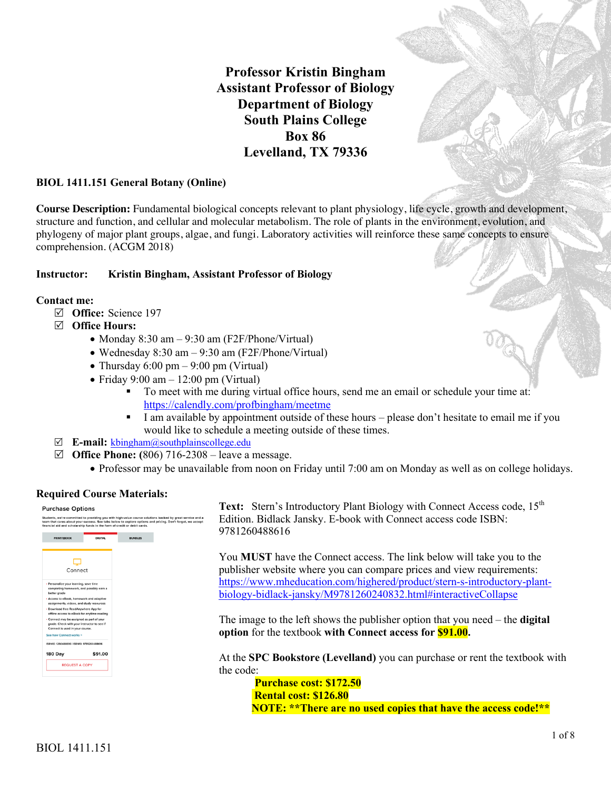# **Professor Kristin Bingham Assistant Professor of Biology Department of Biology South Plains College Box 86 Levelland, TX 79336**

#### **BIOL 1411.151 General Botany (Online)**

**Course Description:** Fundamental biological concepts relevant to plant physiology, life cycle, growth and development, structure and function, and cellular and molecular metabolism. The role of plants in the environment, evolution, and phylogeny of major plant groups, algae, and fungi. Laboratory activities will reinforce these same concepts to ensure comprehension. (ACGM 2018)

#### **Instructor: Kristin Bingham, Assistant Professor of Biology**

#### **Contact me:**

- R **Office:** Science 197
- R **Office Hours:**
	- Monday 8:30 am 9:30 am (F2F/Phone/Virtual)
	- Wednesday 8:30 am 9:30 am (F2F/Phone/Virtual)
	- Thursday  $6:00 \text{ pm} 9:00 \text{ pm}$  (Virtual)
	- Friday  $9:00 \text{ am} 12:00 \text{ pm}$  (Virtual)
		- To meet with me during virtual office hours, send me an email or schedule your time at: https://calendly.com/profbingham/meetme
		- I am available by appointment outside of these hours please don't hesitate to email me if you would like to schedule a meeting outside of these times.
- R **E-mail:** kbingham@southplainscollege.edu
- $\boxtimes$  **Office Phone:** (806) 716-2308 leave a message.
	- Professor may be unavailable from noon on Friday until 7:00 am on Monday as well as on college holidays.

#### **Required Course Materials:**

#### **Purchase Options**



**Text:** Stern's Introductory Plant Biology with Connect Access code, 15<sup>th</sup> Edition. Bidlack Jansky. E-book with Connect access code ISBN: 9781260488616

You **MUST** have the Connect access. The link below will take you to the publisher website where you can compare prices and view requirements: https://www.mheducation.com/highered/product/stern-s-introductory-plantbiology-bidlack-jansky/M9781260240832.html#interactiveCollapse

The image to the left shows the publisher option that you need – the **digital option** for the textbook **with Connect access for \$91.00.** 

At the **SPC Bookstore (Levelland)** you can purchase or rent the textbook with the code:

**Purchase cost: \$172.50 Rental cost: \$126.80 NOTE: \*\*There are no used copies that have the access code!\*\***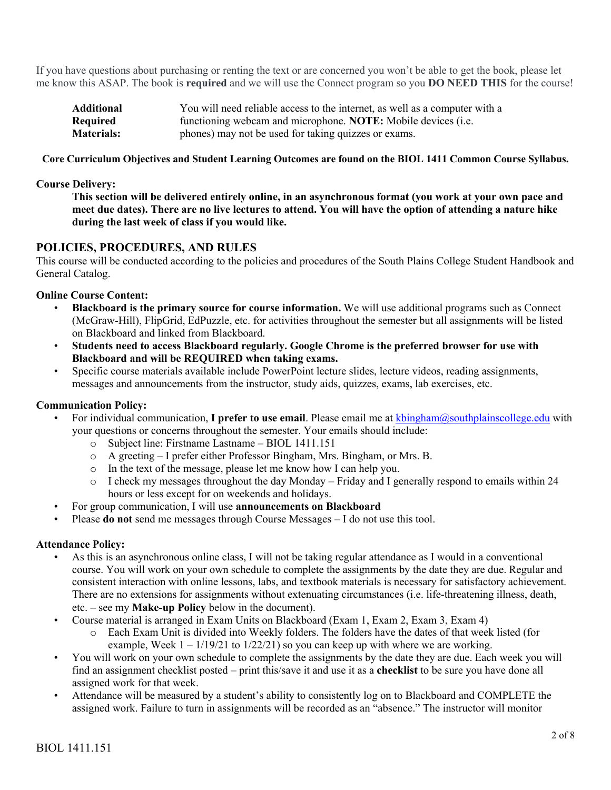If you have questions about purchasing or renting the text or are concerned you won't be able to get the book, please let me know this ASAP. The book is **required** and we will use the Connect program so you **DO NEED THIS** for the course!

| <b>Additional</b> | You will need reliable access to the internet, as well as a computer with a |
|-------------------|-----------------------------------------------------------------------------|
| Required          | functioning webcam and microphone. NOTE: Mobile devices (i.e.               |
| <b>Materials:</b> | phones) may not be used for taking quizzes or exams.                        |

#### **Core Curriculum Objectives and Student Learning Outcomes are found on the BIOL 1411 Common Course Syllabus.**

#### **Course Delivery:**

**This section will be delivered entirely online, in an asynchronous format (you work at your own pace and meet due dates). There are no live lectures to attend. You will have the option of attending a nature hike during the last week of class if you would like.**

# **POLICIES, PROCEDURES, AND RULES**

This course will be conducted according to the policies and procedures of the South Plains College Student Handbook and General Catalog.

# **Online Course Content:**

- **Blackboard is the primary source for course information.** We will use additional programs such as Connect (McGraw-Hill), FlipGrid, EdPuzzle, etc. for activities throughout the semester but all assignments will be listed on Blackboard and linked from Blackboard.
- **Students need to access Blackboard regularly. Google Chrome is the preferred browser for use with Blackboard and will be REQUIRED when taking exams.**
- Specific course materials available include PowerPoint lecture slides, lecture videos, reading assignments, messages and announcements from the instructor, study aids, quizzes, exams, lab exercises, etc.

#### **Communication Policy:**

- For individual communication, **I prefer to use email**. Please email me at kbingham@southplainscollege.edu with your questions or concerns throughout the semester. Your emails should include:
	- o Subject line: Firstname Lastname BIOL 1411.151
	- o A greeting I prefer either Professor Bingham, Mrs. Bingham, or Mrs. B.
	- o In the text of the message, please let me know how I can help you.
	- $\circ$  I check my messages throughout the day Monday Friday and I generally respond to emails within 24 hours or less except for on weekends and holidays.
- For group communication, I will use **announcements on Blackboard**
- Please **do not** send me messages through Course Messages I do not use this tool.

#### **Attendance Policy:**

- As this is an asynchronous online class, I will not be taking regular attendance as I would in a conventional course. You will work on your own schedule to complete the assignments by the date they are due. Regular and consistent interaction with online lessons, labs, and textbook materials is necessary for satisfactory achievement. There are no extensions for assignments without extenuating circumstances (i.e. life-threatening illness, death, etc. – see my **Make-up Policy** below in the document).
- Course material is arranged in Exam Units on Blackboard (Exam 1, Exam 2, Exam 3, Exam 4)
	- o Each Exam Unit is divided into Weekly folders. The folders have the dates of that week listed (for example, Week  $1 - 1/19/21$  to  $1/22/21$  so you can keep up with where we are working.
- You will work on your own schedule to complete the assignments by the date they are due. Each week you will find an assignment checklist posted – print this/save it and use it as a **checklist** to be sure you have done all assigned work for that week.
- Attendance will be measured by a student's ability to consistently log on to Blackboard and COMPLETE the assigned work. Failure to turn in assignments will be recorded as an "absence." The instructor will monitor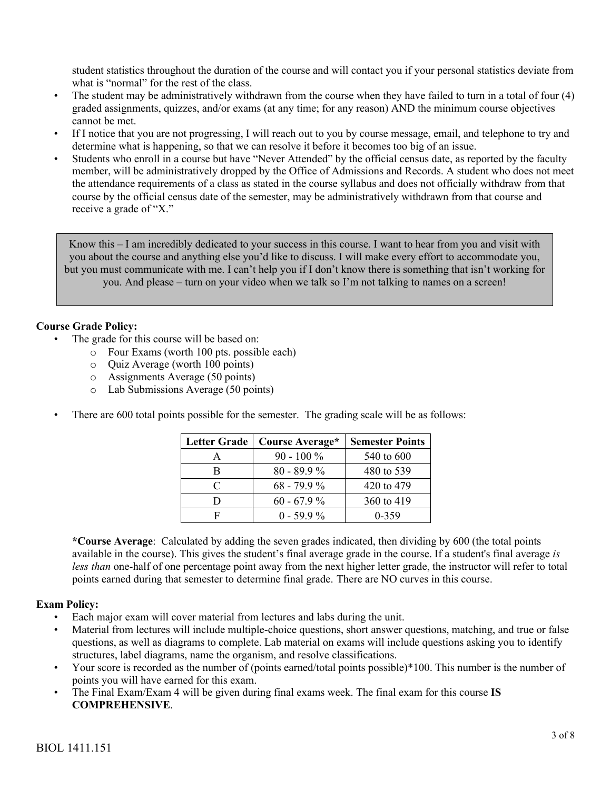student statistics throughout the duration of the course and will contact you if your personal statistics deviate from what is "normal" for the rest of the class.

- The student may be administratively withdrawn from the course when they have failed to turn in a total of four (4) graded assignments, quizzes, and/or exams (at any time; for any reason) AND the minimum course objectives cannot be met.
- If I notice that you are not progressing, I will reach out to you by course message, email, and telephone to try and determine what is happening, so that we can resolve it before it becomes too big of an issue.
- Students who enroll in a course but have "Never Attended" by the official census date, as reported by the faculty member, will be administratively dropped by the Office of Admissions and Records. A student who does not meet the attendance requirements of a class as stated in the course syllabus and does not officially withdraw from that course by the official census date of the semester, may be administratively withdrawn from that course and receive a grade of "X."

Know this – I am incredibly dedicated to your success in this course. I want to hear from you and visit with you about the course and anything else you'd like to discuss. I will make every effort to accommodate you, but you must communicate with me. I can't help you if I don't know there is something that isn't working for you. And please – turn on your video when we talk so I'm not talking to names on a screen!

# **Course Grade Policy:**

- The grade for this course will be based on:
	- o Four Exams (worth 100 pts. possible each)
	- o Quiz Average (worth 100 points)
	- o Assignments Average (50 points)
	- o Lab Submissions Average (50 points)
- There are 600 total points possible for the semester. The grading scale will be as follows:

| <b>Letter Grade</b> | Course Average* | <b>Semester Points</b> |
|---------------------|-----------------|------------------------|
| А                   | $90 - 100\%$    | 540 to 600             |
| В                   | $80 - 89.9 %$   | 480 to 539             |
| C                   | $68 - 79.9\%$   | 420 to 479             |
| נו                  | $60 - 67.9%$    | 360 to 419             |
| F                   | $0 - 59.9\%$    | $0 - 359$              |

**\*Course Average**: Calculated by adding the seven grades indicated, then dividing by 600 (the total points available in the course). This gives the student's final average grade in the course. If a student's final average *is less than* one-half of one percentage point away from the next higher letter grade, the instructor will refer to total points earned during that semester to determine final grade. There are NO curves in this course.

# **Exam Policy:**

- Each major exam will cover material from lectures and labs during the unit.
- Material from lectures will include multiple-choice questions, short answer questions, matching, and true or false questions, as well as diagrams to complete. Lab material on exams will include questions asking you to identify structures, label diagrams, name the organism, and resolve classifications.
- Your score is recorded as the number of (points earned/total points possible)\*100. This number is the number of points you will have earned for this exam.
- The Final Exam/Exam 4 will be given during final exams week. The final exam for this course **IS COMPREHENSIVE**.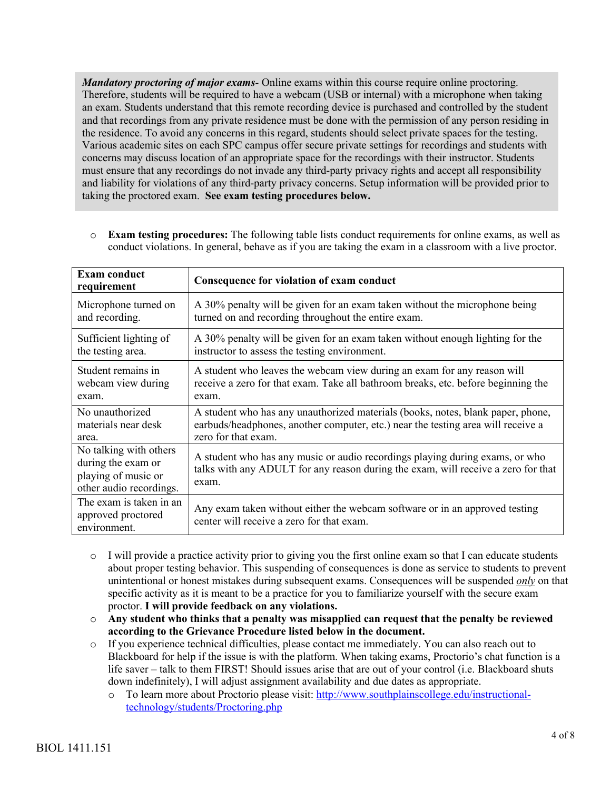*Mandatory proctoring of major exams-* Online exams within this course require online proctoring. Therefore, students will be required to have a webcam (USB or internal) with a microphone when taking an exam. Students understand that this remote recording device is purchased and controlled by the student and that recordings from any private residence must be done with the permission of any person residing in the residence. To avoid any concerns in this regard, students should select private spaces for the testing. Various academic sites on each SPC campus offer secure private settings for recordings and students with concerns may discuss location of an appropriate space for the recordings with their instructor. Students must ensure that any recordings do not invade any third-party privacy rights and accept all responsibility and liability for violations of any third-party privacy concerns. Setup information will be provided prior to taking the proctored exam. **See exam testing procedures below.**

o **Exam testing procedures:** The following table lists conduct requirements for online exams, as well as conduct violations. In general, behave as if you are taking the exam in a classroom with a live proctor.

| <b>Exam conduct</b><br>requirement                                                             | Consequence for violation of exam conduct                                                                                                                                  |
|------------------------------------------------------------------------------------------------|----------------------------------------------------------------------------------------------------------------------------------------------------------------------------|
| Microphone turned on                                                                           | A 30% penalty will be given for an exam taken without the microphone being                                                                                                 |
| and recording.                                                                                 | turned on and recording throughout the entire exam.                                                                                                                        |
| Sufficient lighting of                                                                         | A 30% penalty will be given for an exam taken without enough lighting for the                                                                                              |
| the testing area.                                                                              | instructor to assess the testing environment.                                                                                                                              |
| Student remains in                                                                             | A student who leaves the webcam view during an exam for any reason will                                                                                                    |
| webcam view during                                                                             | receive a zero for that exam. Take all bathroom breaks, etc. before beginning the                                                                                          |
| exam.                                                                                          | exam.                                                                                                                                                                      |
| No unauthorized                                                                                | A student who has any unauthorized materials (books, notes, blank paper, phone,                                                                                            |
| materials near desk                                                                            | earbuds/headphones, another computer, etc.) near the testing area will receive a                                                                                           |
| area.                                                                                          | zero for that exam.                                                                                                                                                        |
| No talking with others<br>during the exam or<br>playing of music or<br>other audio recordings. | A student who has any music or audio recordings playing during exams, or who<br>talks with any ADULT for any reason during the exam, will receive a zero for that<br>exam. |
| The exam is taken in an<br>approved proctored<br>environment.                                  | Any exam taken without either the webcam software or in an approved testing<br>center will receive a zero for that exam.                                                   |

- $\circ$  I will provide a practice activity prior to giving you the first online exam so that I can educate students about proper testing behavior. This suspending of consequences is done as service to students to prevent unintentional or honest mistakes during subsequent exams. Consequences will be suspended *only* on that specific activity as it is meant to be a practice for you to familiarize yourself with the secure exam proctor. **I will provide feedback on any violations.**
- o **Any student who thinks that a penalty was misapplied can request that the penalty be reviewed according to the Grievance Procedure listed below in the document.**
- o If you experience technical difficulties, please contact me immediately. You can also reach out to Blackboard for help if the issue is with the platform. When taking exams, Proctorio's chat function is a life saver – talk to them FIRST! Should issues arise that are out of your control (i.e. Blackboard shuts down indefinitely), I will adjust assignment availability and due dates as appropriate.
	- o To learn more about Proctorio please visit: http://www.southplainscollege.edu/instructionaltechnology/students/Proctoring.php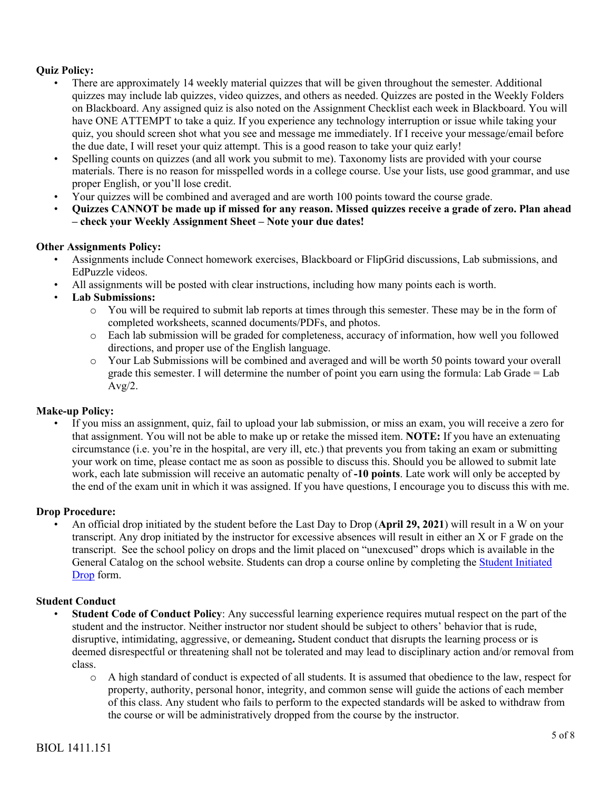# **Quiz Policy:**

- There are approximately 14 weekly material quizzes that will be given throughout the semester. Additional quizzes may include lab quizzes, video quizzes, and others as needed. Quizzes are posted in the Weekly Folders on Blackboard. Any assigned quiz is also noted on the Assignment Checklist each week in Blackboard. You will have ONE ATTEMPT to take a quiz. If you experience any technology interruption or issue while taking your quiz, you should screen shot what you see and message me immediately. If I receive your message/email before the due date, I will reset your quiz attempt. This is a good reason to take your quiz early!
- Spelling counts on quizzes (and all work you submit to me). Taxonomy lists are provided with your course materials. There is no reason for misspelled words in a college course. Use your lists, use good grammar, and use proper English, or you'll lose credit.
- Your quizzes will be combined and averaged and are worth 100 points toward the course grade.
- **Quizzes CANNOT be made up if missed for any reason. Missed quizzes receive a grade of zero. Plan ahead – check your Weekly Assignment Sheet – Note your due dates!**

### **Other Assignments Policy:**

- Assignments include Connect homework exercises, Blackboard or FlipGrid discussions, Lab submissions, and EdPuzzle videos.
- All assignments will be posted with clear instructions, including how many points each is worth.
- **Lab Submissions:**
	- o You will be required to submit lab reports at times through this semester. These may be in the form of completed worksheets, scanned documents/PDFs, and photos.
	- o Each lab submission will be graded for completeness, accuracy of information, how well you followed directions, and proper use of the English language.
	- o Your Lab Submissions will be combined and averaged and will be worth 50 points toward your overall grade this semester. I will determine the number of point you earn using the formula: Lab Grade = Lab  $Avg/2$ .

#### **Make-up Policy:**

• If you miss an assignment, quiz, fail to upload your lab submission, or miss an exam, you will receive a zero for that assignment. You will not be able to make up or retake the missed item. **NOTE:** If you have an extenuating circumstance (i.e. you're in the hospital, are very ill, etc.) that prevents you from taking an exam or submitting your work on time, please contact me as soon as possible to discuss this. Should you be allowed to submit late work, each late submission will receive an automatic penalty of **-10 points**. Late work will only be accepted by the end of the exam unit in which it was assigned. If you have questions, I encourage you to discuss this with me.

#### **Drop Procedure:**

• An official drop initiated by the student before the Last Day to Drop (**April 29, 2021**) will result in a W on your transcript. Any drop initiated by the instructor for excessive absences will result in either an X or F grade on the transcript. See the school policy on drops and the limit placed on "unexcused" drops which is available in the General Catalog on the school website. Students can drop a course online by completing the Student Initiated Drop form.

#### **Student Conduct**

- **Student Code of Conduct Policy**: Any successful learning experience requires mutual respect on the part of the student and the instructor. Neither instructor nor student should be subject to others' behavior that is rude, disruptive, intimidating, aggressive, or demeaning**.** Student conduct that disrupts the learning process or is deemed disrespectful or threatening shall not be tolerated and may lead to disciplinary action and/or removal from class.
	- o A high standard of conduct is expected of all students. It is assumed that obedience to the law, respect for property, authority, personal honor, integrity, and common sense will guide the actions of each member of this class. Any student who fails to perform to the expected standards will be asked to withdraw from the course or will be administratively dropped from the course by the instructor.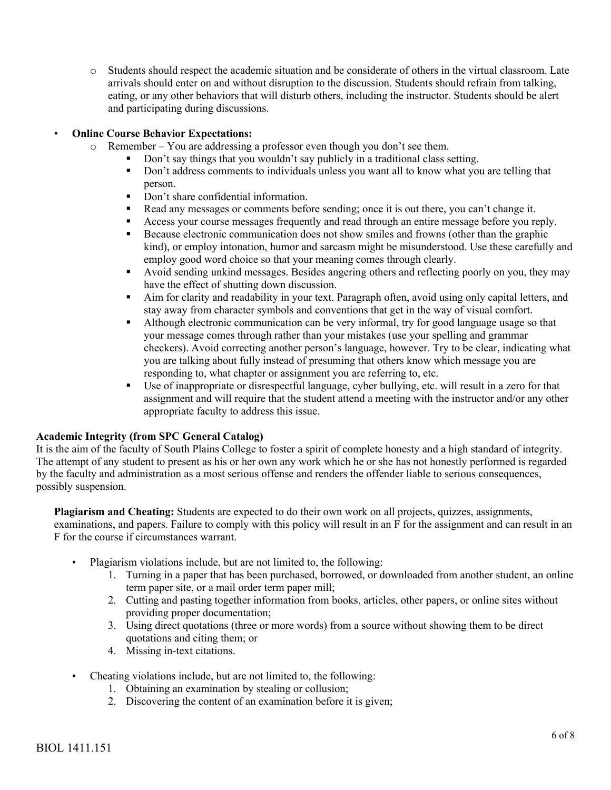o Students should respect the academic situation and be considerate of others in the virtual classroom. Late arrivals should enter on and without disruption to the discussion. Students should refrain from talking, eating, or any other behaviors that will disturb others, including the instructor. Students should be alert and participating during discussions.

# • **Online Course Behavior Expectations:**

- o Remember You are addressing a professor even though you don't see them.
	- § Don't say things that you wouldn't say publicly in a traditional class setting.
	- § Don't address comments to individuals unless you want all to know what you are telling that person.
	- Don't share confidential information.
	- Read any messages or comments before sending; once it is out there, you can't change it.
	- Access your course messages frequently and read through an entire message before you reply.
	- Because electronic communication does not show smiles and frowns (other than the graphic kind), or employ intonation, humor and sarcasm might be misunderstood. Use these carefully and employ good word choice so that your meaning comes through clearly.
	- Avoid sending unkind messages. Besides angering others and reflecting poorly on you, they may have the effect of shutting down discussion.
	- Aim for clarity and readability in your text. Paragraph often, avoid using only capital letters, and stay away from character symbols and conventions that get in the way of visual comfort.
	- Although electronic communication can be very informal, try for good language usage so that your message comes through rather than your mistakes (use your spelling and grammar checkers). Avoid correcting another person's language, however. Try to be clear, indicating what you are talking about fully instead of presuming that others know which message you are responding to, what chapter or assignment you are referring to, etc.
	- Use of inappropriate or disrespectful language, cyber bullying, etc. will result in a zero for that assignment and will require that the student attend a meeting with the instructor and/or any other appropriate faculty to address this issue.

#### **Academic Integrity (from SPC General Catalog)**

It is the aim of the faculty of South Plains College to foster a spirit of complete honesty and a high standard of integrity. The attempt of any student to present as his or her own any work which he or she has not honestly performed is regarded by the faculty and administration as a most serious offense and renders the offender liable to serious consequences, possibly suspension.

**Plagiarism and Cheating:** Students are expected to do their own work on all projects, quizzes, assignments, examinations, and papers. Failure to comply with this policy will result in an F for the assignment and can result in an F for the course if circumstances warrant.

- Plagiarism violations include, but are not limited to, the following:
	- 1. Turning in a paper that has been purchased, borrowed, or downloaded from another student, an online term paper site, or a mail order term paper mill;
	- 2. Cutting and pasting together information from books, articles, other papers, or online sites without providing proper documentation;
	- 3. Using direct quotations (three or more words) from a source without showing them to be direct quotations and citing them; or
	- 4. Missing in-text citations.
- Cheating violations include, but are not limited to, the following:
	- 1. Obtaining an examination by stealing or collusion;
	- 2. Discovering the content of an examination before it is given;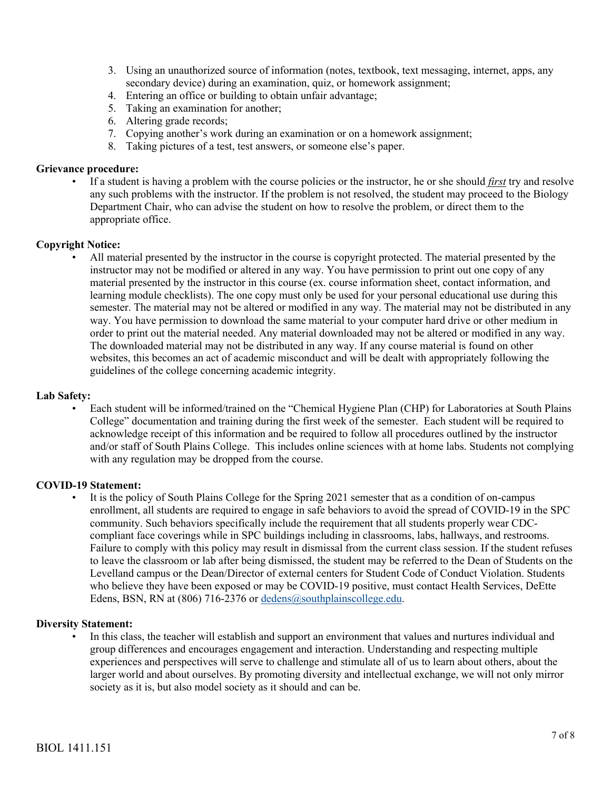- 3. Using an unauthorized source of information (notes, textbook, text messaging, internet, apps, any secondary device) during an examination, quiz, or homework assignment;
- 4. Entering an office or building to obtain unfair advantage;
- 5. Taking an examination for another;
- 6. Altering grade records;
- 7. Copying another's work during an examination or on a homework assignment;
- 8. Taking pictures of a test, test answers, or someone else's paper.

#### **Grievance procedure:**

• If a student is having a problem with the course policies or the instructor, he or she should *first* try and resolve any such problems with the instructor. If the problem is not resolved, the student may proceed to the Biology Department Chair, who can advise the student on how to resolve the problem, or direct them to the appropriate office.

#### **Copyright Notice:**

• All material presented by the instructor in the course is copyright protected. The material presented by the instructor may not be modified or altered in any way. You have permission to print out one copy of any material presented by the instructor in this course (ex. course information sheet, contact information, and learning module checklists). The one copy must only be used for your personal educational use during this semester. The material may not be altered or modified in any way. The material may not be distributed in any way. You have permission to download the same material to your computer hard drive or other medium in order to print out the material needed. Any material downloaded may not be altered or modified in any way. The downloaded material may not be distributed in any way. If any course material is found on other websites, this becomes an act of academic misconduct and will be dealt with appropriately following the guidelines of the college concerning academic integrity.

#### **Lab Safety:**

• Each student will be informed/trained on the "Chemical Hygiene Plan (CHP) for Laboratories at South Plains College" documentation and training during the first week of the semester. Each student will be required to acknowledge receipt of this information and be required to follow all procedures outlined by the instructor and/or staff of South Plains College. This includes online sciences with at home labs. Students not complying with any regulation may be dropped from the course.

#### **COVID-19 Statement:**

• It is the policy of South Plains College for the Spring 2021 semester that as a condition of on-campus enrollment, all students are required to engage in safe behaviors to avoid the spread of COVID-19 in the SPC community. Such behaviors specifically include the requirement that all students properly wear CDCcompliant face coverings while in SPC buildings including in classrooms, labs, hallways, and restrooms. Failure to comply with this policy may result in dismissal from the current class session. If the student refuses to leave the classroom or lab after being dismissed, the student may be referred to the Dean of Students on the Levelland campus or the Dean/Director of external centers for Student Code of Conduct Violation. Students who believe they have been exposed or may be COVID-19 positive, must contact Health Services, DeEtte Edens, BSN, RN at (806) 716-2376 or dedens@southplainscollege.edu.

#### **Diversity Statement:**

In this class, the teacher will establish and support an environment that values and nurtures individual and group differences and encourages engagement and interaction. Understanding and respecting multiple experiences and perspectives will serve to challenge and stimulate all of us to learn about others, about the larger world and about ourselves. By promoting diversity and intellectual exchange, we will not only mirror society as it is, but also model society as it should and can be.